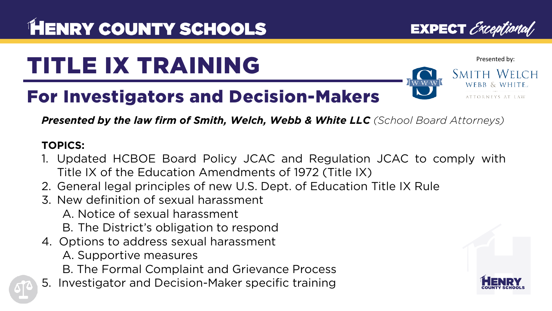

### TITLE IX TRAINING

### For Investigators and Decision-Makers



*Presented by the law firm of Smith, Welch, Webb & White LLC (School Board Attorneys)*

#### **TOPICS:**

- 1. Updated HCBOE Board Policy JCAC and Regulation JCAC to comply with Title IX of the Education Amendments of 1972 (Title IX)
- 2. General legal principles of new U.S. Dept. of Education Title IX Rule
- 3. New definition of sexual harassment
	- A. Notice of sexual harassment
	- B. The District's obligation to respond
- 4. Options to address sexual harassment
	- A. Supportive measures
	- B. The Formal Complaint and Grievance Process
- 5. Investigator and Decision-Maker specific training

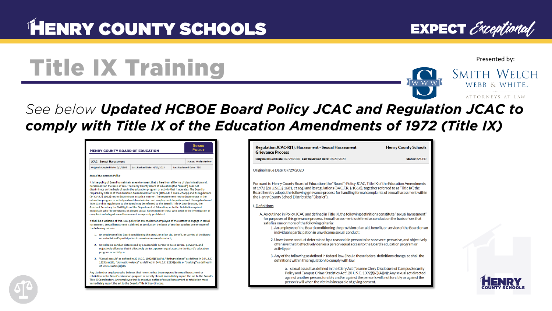

**EXPECT** Exceptional

WEBB & WHITE ATTORNEYS AT LAW

#### *See below Updated HCBOE Board Policy JCAC and Regulation JCAC to comply with Title IX of the Education Amendments of 1972 (Title IX)*

| <b>HENRY COUNTY BOARD OF EDUCATION</b>                                                                                                                                                                               |                                                                                                                                                                                                                                                                                                                                                                                                                                                                                                                                                                                                                                                                                                                                                                                                                                   | <b>BOARD</b><br><b>POLICY</b>                                                                             |  |
|----------------------------------------------------------------------------------------------------------------------------------------------------------------------------------------------------------------------|-----------------------------------------------------------------------------------------------------------------------------------------------------------------------------------------------------------------------------------------------------------------------------------------------------------------------------------------------------------------------------------------------------------------------------------------------------------------------------------------------------------------------------------------------------------------------------------------------------------------------------------------------------------------------------------------------------------------------------------------------------------------------------------------------------------------------------------|-----------------------------------------------------------------------------------------------------------|--|
| <b>ICAC: Sexual Harassment</b>                                                                                                                                                                                       |                                                                                                                                                                                                                                                                                                                                                                                                                                                                                                                                                                                                                                                                                                                                                                                                                                   | <b>Status: Under Review</b>                                                                               |  |
| Original Adopted Date: 2/1/1995                                                                                                                                                                                      | Last Revised Date: 6/10/2013                                                                                                                                                                                                                                                                                                                                                                                                                                                                                                                                                                                                                                                                                                                                                                                                      | <b>Last Reviewed Date: TBD</b>                                                                            |  |
| <b>Sexual Harassment Policy</b>                                                                                                                                                                                      |                                                                                                                                                                                                                                                                                                                                                                                                                                                                                                                                                                                                                                                                                                                                                                                                                                   |                                                                                                           |  |
| the following criteria:                                                                                                                                                                                              | (34 C.F.R. § 106.8) not to discriminate in such a manner. The requirement not to discriminate in the<br>education program or activity extends to admission and employment. Inquiries about the application of<br>Title IX and its regulations to the Board may be referred to the Board's Title IX Coordinators, the<br>Assistant Secretary for Civil Rights of the Department of Education, or both. Retaliation against<br>individuals who file complaints of alleged sexual harassment or those who assist in the investigation of<br>complaints of alleged sexual harassment is expressly prohibited.<br>It shall be a violation of this JCAC policy for any student or employee of the District to engage in sexual<br>harassment. Sexual harassment is defined as conduct on the basis of sex that satisfies one or more of |                                                                                                           |  |
|                                                                                                                                                                                                                      | 1. An employee of the Board conditioning the provision of an aid, benefit, or service of the Board<br>on an individual's participation in unwelcome sexual conduct;                                                                                                                                                                                                                                                                                                                                                                                                                                                                                                                                                                                                                                                               |                                                                                                           |  |
| 2. Unwelcome conduct determined by a reasonable person to be so severe, pervasive, and<br>objectively offensive that it effectively denies a person equal access to the Board's education<br>program or activity; or |                                                                                                                                                                                                                                                                                                                                                                                                                                                                                                                                                                                                                                                                                                                                                                                                                                   |                                                                                                           |  |
|                                                                                                                                                                                                                      | 3. "Sexual assault" as defined in 20 U.S.C. 1092(f)(6)(A)(v), "dating violence" as defined in 34 U.S.C.<br>12291(a)(10), "domestic violence" as defined in 34 U.S.C. 12291(a)(8), or "stalking" as defined in<br>34 U.S.C. 12291(a)(30).                                                                                                                                                                                                                                                                                                                                                                                                                                                                                                                                                                                          |                                                                                                           |  |
|                                                                                                                                                                                                                      | Any student or employee who believes that he or she has been exposed to sexual harassment or<br>Title IX Coordinators. Any employee that is on actual notice of sexual harassment or retaliation must<br>immediately report the act to the Board's Title IX Coordinators.                                                                                                                                                                                                                                                                                                                                                                                                                                                                                                                                                         | retaliation in the Board's education program or activity should immediately report the act to the Board's |  |

| Regulation JCAC-R(1): Harassment - Sexual Harassment<br><b>Grievance Process</b>                                                                                                                                                                                                                                                                                                                                                                       | <b>Henry County Schools</b> |
|--------------------------------------------------------------------------------------------------------------------------------------------------------------------------------------------------------------------------------------------------------------------------------------------------------------------------------------------------------------------------------------------------------------------------------------------------------|-----------------------------|
| Original Issued Date: 07/29/2020   Last Reviewed Date: 07/29/2020                                                                                                                                                                                                                                                                                                                                                                                      | <b>Status: ISSUED</b>       |
| Original Issue Date: 07/29/2020                                                                                                                                                                                                                                                                                                                                                                                                                        |                             |
| Pursuant to Henry County Board of Education (the "Board") Policy JCAC, Title IX of the Education Amendments<br>of 1972 (20 U.S.C. § 1681, et seq.) and its regulations (34 C.F.R. § 106.8), together referred to as "Title IX", the<br>Board hereby adopts the following grievance process for handling formal complaints of sexual harassment within<br>the Henry County School District (the "District").                                            |                             |
| I. Definitions                                                                                                                                                                                                                                                                                                                                                                                                                                         |                             |
| A. As outlined in Policy JCAC and defined in Title IX, the following definitions constitute "sexual harassment"<br>for purposes of this grievance process. Sexual harassment is defined as conduct on the basis of sex that<br>satisfies one or more of the following criteria:<br>1. An employee of the Board conditioning the provision of an aid, benefit, or service of the Board on an<br>individual's participation in unwelcome sexual conduct; |                             |
| 2. Unwelcome conduct determined by a reasonable person to be so severe, pervasive, and objectively<br>offensive that it effectively denies a person equal access to the Board's education program or<br>activity; or                                                                                                                                                                                                                                   |                             |
| 3. Any of the following as defined in federal law. Should these federal definitions change, so shall the<br>definitions within this regulation to comply with law:                                                                                                                                                                                                                                                                                     |                             |
| a. sexual assault as defined in the Clery Act ("Jeanne Clery Disclosure of Campus Security<br>Policy and Campus Crime Statistics Act", 20 U.S.C. 1092(f)(6)(A)(v)): Any sexual act directed<br>against another person, forcibly and/or against the person's will; not forcibly or against the<br>person's will when the victim is incapable of giving consent.                                                                                         |                             |

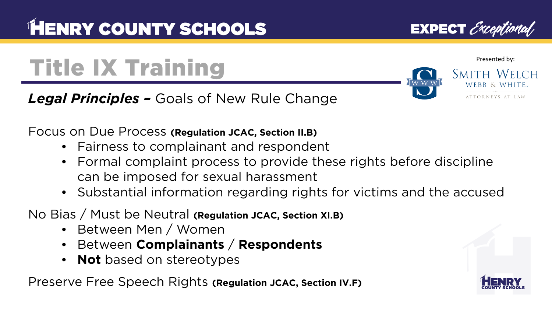

*Legal Principles –* Goals of New Rule Change

Focus on Due Process **(Regulation JCAC, Section II.B)**

- Fairness to complainant and respondent
- Formal complaint process to provide these rights before discipline can be imposed for sexual harassment
- Substantial information regarding rights for victims and the accused
- No Bias / Must be Neutral **(Regulation JCAC, Section XI.B)**
	- Between Men / Women
	- Between **Complainants** / **Respondents**
	- **Not** based on stereotypes

Preserve Free Speech Rights **(Regulation JCAC, Section IV.F)**





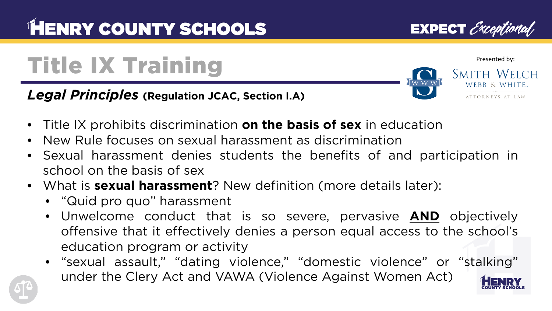

### Title IX Training **Presented by:**

*Legal Principles* **(Regulation JCAC, Section I.A)**





- Title IX prohibits discrimination **on the basis of sex** in education
- New Rule focuses on sexual harassment as discrimination
- Sexual harassment denies students the benefits of and participation in school on the basis of sex
- What is **sexual harassment**? New definition (more details later):
	- "Quid pro quo" harassment
	- Unwelcome conduct that is so severe, pervasive **AND** objectively offensive that it effectively denies a person equal access to the school's education program or activity
	- "sexual assault," "dating violence," "domestic violence" or "stalking" under the Clery Act and VAWA (Violence Against Women Act)

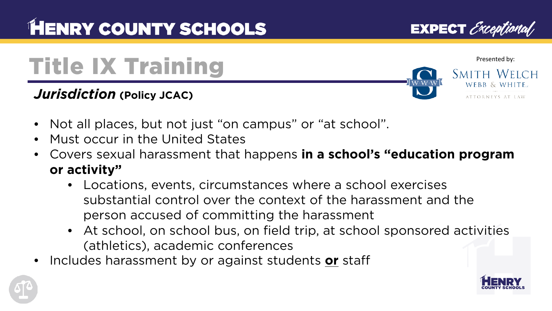

*Jurisdiction* **(Policy JCAC)**





- Not all places, but not just "on campus" or "at school".
- Must occur in the United States
- Covers sexual harassment that happens **in a school's "education program or activity"**
	- Locations, events, circumstances where a school exercises substantial control over the context of the harassment and the person accused of committing the harassment
	- At school, on school bus, on field trip, at school sponsored activities (athletics), academic conferences
- Includes harassment by or against students **or** staff



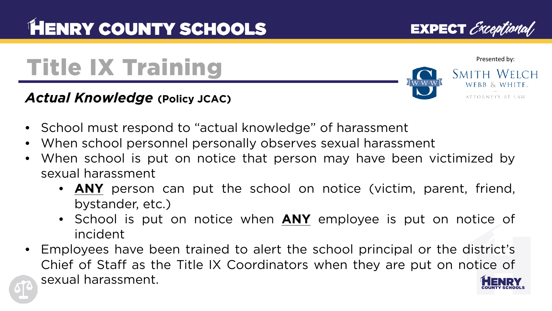

### Title IX Training **Presented by:**

*Actual Knowledge* **(Policy JCAC)**





- School must respond to "actual knowledge" of harassment
- When school personnel personally observes sexual harassment
- When school is put on notice that person may have been victimized by sexual harassment
	- **ANY** person can put the school on notice (victim, parent, friend, bystander, etc.)
	- School is put on notice when **ANY** employee is put on notice of incident
- Employees have been trained to alert the school principal or the district's Chief of Staff as the Title IX Coordinators when they are put on notice of sexual harassment.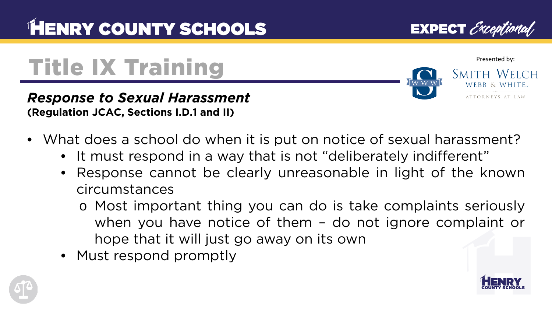### *Response to Sexual Harassment* **(Regulation JCAC, Sections I.D.1 and II)**

- What does a school do when it is put on notice of sexual harassment?
	- It must respond in a way that is not "deliberately indifferent"
	- Response cannot be clearly unreasonable in light of the known circumstances
		- o Most important thing you can do is take complaints seriously when you have notice of them – do not ignore complaint or hope that it will just go away on its own
	- Must respond promptly





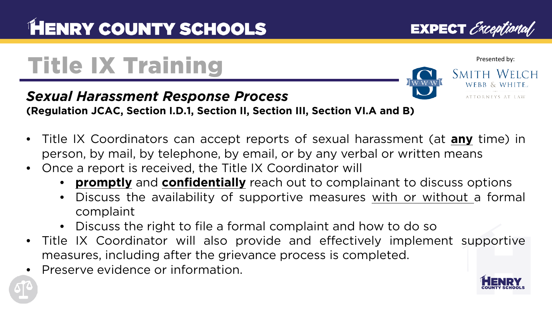

#### *Sexual Harassment Response Process*

**(Regulation JCAC, Section I.D.1, Section II, Section III, Section VI.A and B)**

- Title IX Coordinators can accept reports of sexual harassment (at **any** time) in person, by mail, by telephone, by email, or by any verbal or written means
- Once a report is received, the Title IX Coordinator will
	- **promptly** and **confidentially** reach out to complainant to discuss options
	- Discuss the availability of supportive measures with or without a formal complaint
	- Discuss the right to file a formal complaint and how to do so
- Title IX Coordinator will also provide and effectively implement supportive measures, including after the grievance process is completed.
- Preserve evidence or information.





WEBB & WHITI

**ATTORNEYS AT LAW** 

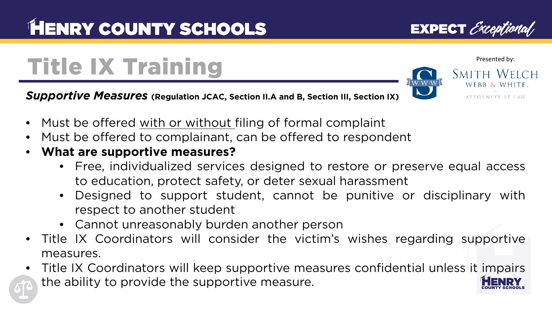**EXPECT** Exceptional

### Title IX Training **Presented by:**

**Supportive Measures** (Regulation JCAC, Section II.A and B, Section III, Section IX)





- Must be offered with or without filing of formal complaint
- Must be offered to complainant, can be offered to respondent
- **What are supportive measures?**
	- Free, individualized services designed to restore or preserve equal access to education, protect safety, or deter sexual harassment
	- Designed to support student, cannot be punitive or disciplinary with respect to another student
	- Cannot unreasonably burden another person
- Title IX Coordinators will consider the victim's wishes regarding supportive measures.
- Title IX Coordinators will keep supportive measures confidential unless it impairs the ability to provide the supportive measure.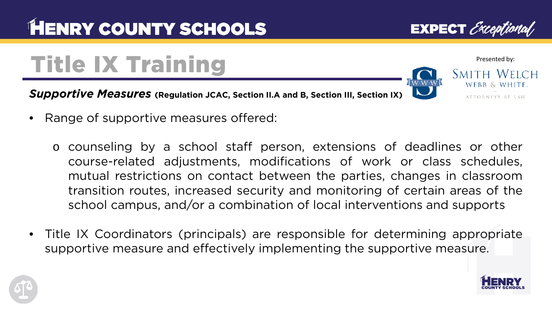



**Supportive Measures** (Regulation JCAC, Section II.A and B, Section III, Section IX)





- Range of supportive measures offered:
	- o counseling by a school staff person, extensions of deadlines or other course-related adjustments, modifications of work or class schedules, mutual restrictions on contact between the parties, changes in classroom transition routes, increased security and monitoring of certain areas of the school campus, and/or a combination of local interventions and supports
- Title IX Coordinators (principals) are responsible for determining appropriate supportive measure and effectively implementing the supportive measure.



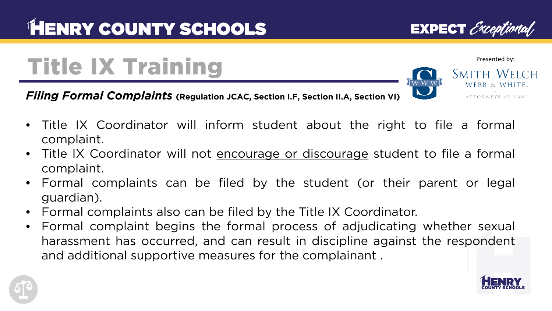**EXPECT** Exceptional

### Title IX Training **Presented by:**

*Filing Formal Complaints* **(Regulation JCAC, Section I.F, Section II.A, Section VI)**





- Title IX Coordinator will inform student about the right to file a formal complaint.
- Title IX Coordinator will not encourage or discourage student to file a formal complaint.
- Formal complaints can be filed by the student (or their parent or legal guardian).
- Formal complaints also can be filed by the Title IX Coordinator.
- Formal complaint begins the formal process of adjudicating whether sexual harassment has occurred, and can result in discipline against the respondent and additional supportive measures for the complainant .



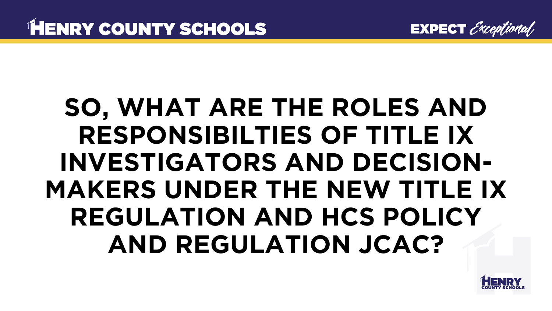

### **SO, WHAT ARE THE ROLES AND RESPONSIBILTIES OF TITLE IX INVESTIGATORS AND DECISION-MAKERS UNDER THE NEW TITLE IX REGULATION AND HCS POLICY AND REGULATION JCAC?**

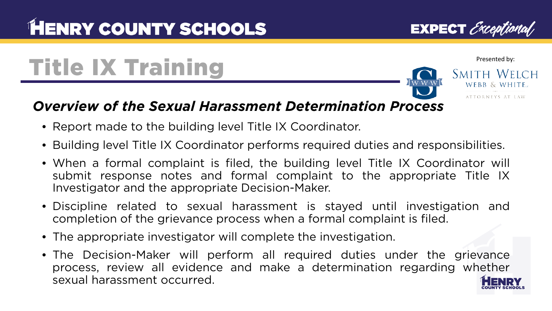





#### *Overview of the Sexual Harassment Determination Process*

- Report made to the building level Title IX Coordinator.
- Building level Title IX Coordinator performs required duties and responsibilities.
- When a formal complaint is filed, the building level Title IX Coordinator will submit response notes and formal complaint to the appropriate Title IX Investigator and the appropriate Decision-Maker.
- Discipline related to sexual harassment is stayed until investigation and completion of the grievance process when a formal complaint is filed.
- The appropriate investigator will complete the investigation.
- The Decision-Maker will perform all required duties under the grievance process, review all evidence and make a determination regarding whether sexual harassment occurred.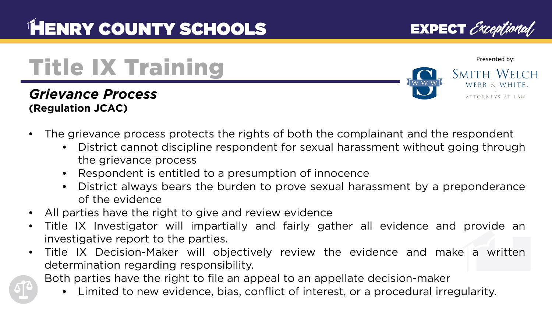

The grievance process protects the rights of both the complainant and the respondent

- District cannot discipline respondent for sexual harassment without going through the grievance process
- Respondent is entitled to a presumption of innocence
- District always bears the burden to prove sexual harassment by a preponderance of the evidence
- All parties have the right to give and review evidence
- Title IX Investigator will impartially and fairly gather all evidence and provide an investigative report to the parties.
- Title IX Decision-Maker will objectively review the evidence and make a written determination regarding responsibility.

• Both parties have the right to file an appeal to an appellate decision-maker

• Limited to new evidence, bias, conflict of interest, or a procedural irregularity.





WEBB & WHITE

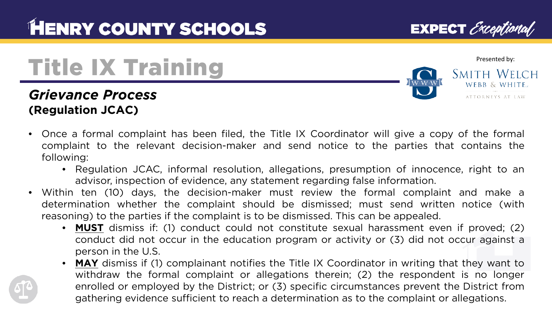

#### *Grievance Process* **(Regulation JCAC)**



**EXPECT** Exceptional

- Once a formal complaint has been filed, the Title IX Coordinator will give a copy of the formal complaint to the relevant decision-maker and send notice to the parties that contains the following:
	- Regulation JCAC, informal resolution, allegations, presumption of innocence, right to an advisor, inspection of evidence, any statement regarding false information.
- Within ten (10) days, the decision-maker must review the formal complaint and make a determination whether the complaint should be dismissed; must send written notice (with reasoning) to the parties if the complaint is to be dismissed. This can be appealed.
	- **MUST** dismiss if: (1) conduct could not constitute sexual harassment even if proved; (2) conduct did not occur in the education program or activity or (3) did not occur against a person in the U.S.
	- **MAY** dismiss if (1) complainant notifies the Title IX Coordinator in writing that they want to withdraw the formal complaint or allegations therein; (2) the respondent is no longer enrolled or employed by the District; or (3) specific circumstances prevent the District from gathering evidence sufficient to reach a determination as to the complaint or allegations.

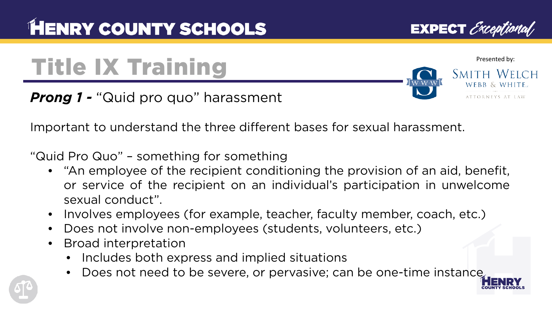

*Prong 1 - "Quid pro quo" harassment* 



Important to understand the three different bases for sexual harassment.

#### "Quid Pro Quo" – something for something

- "An employee of the recipient conditioning the provision of an aid, benefit, or service of the recipient on an individual's participation in unwelcome sexual conduct".
- Involves employees (for example, teacher, faculty member, coach, etc.)
- Does not involve non-employees (students, volunteers, etc.)
- Broad interpretation
	- Includes both express and implied situations
	- Does not need to be severe, or pervasive; can be one-time instance

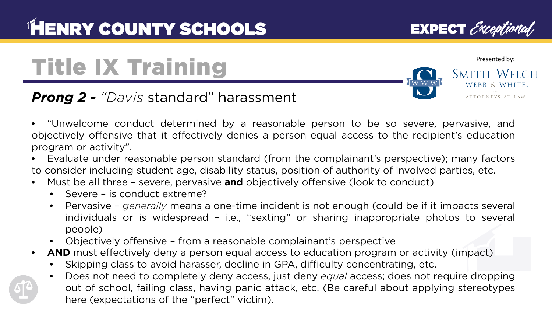

#### *Prong 2 - "Davis* standard" harassment



- "Unwelcome conduct determined by a reasonable person to be so severe, pervasive, and objectively offensive that it effectively denies a person equal access to the recipient's education program or activity".
- Evaluate under reasonable person standard (from the complainant's perspective); many factors to consider including student age, disability status, position of authority of involved parties, etc.
- Must be all three severe, pervasive **and** objectively offensive (look to conduct)
	- Severe is conduct extreme?
	- Pervasive *generally* means a one-time incident is not enough (could be if it impacts several individuals or is widespread – i.e., "sexting" or sharing inappropriate photos to several people)
	- Objectively offensive from a reasonable complainant's perspective
- **AND** must effectively deny a person equal access to education program or activity (impact)
	- Skipping class to avoid harasser, decline in GPA, difficulty concentrating, etc.
	- Does not need to completely deny access, just deny *equal* access; does not require dropping out of school, failing class, having panic attack, etc. (Be careful about applying stereotypes here (expectations of the "perfect" victim).

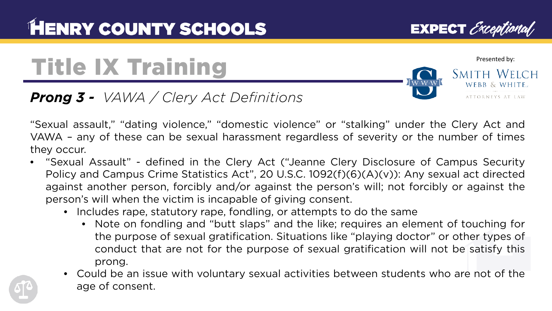

#### *Prong 3 - VAWA / Clery Act Definitions*



"Sexual assault," "dating violence," "domestic violence" or "stalking" under the Clery Act and VAWA – any of these can be sexual harassment regardless of severity or the number of times they occur.

- "Sexual Assault" defined in the Clery Act ("Jeanne Clery Disclosure of Campus Security Policy and Campus Crime Statistics Act", 20 U.S.C. 1092(f)(6)(A)(v)): Any sexual act directed against another person, forcibly and/or against the person's will; not forcibly or against the person's will when the victim is incapable of giving consent.
	- Includes rape, statutory rape, fondling, or attempts to do the same
		- Note on fondling and "butt slaps" and the like; requires an element of touching for the purpose of sexual gratification. Situations like "playing doctor" or other types of conduct that are not for the purpose of sexual gratification will not be satisfy this prong.
	- Could be an issue with voluntary sexual activities between students who are not of the age of consent.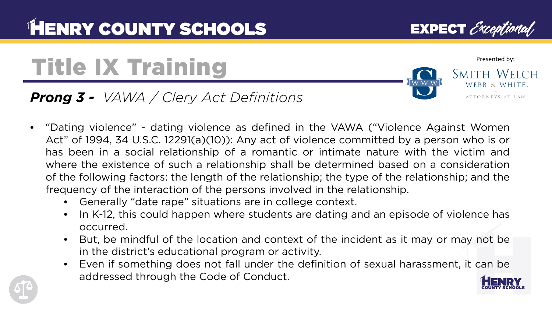

#### *Prong 3 - VAWA / Clery Act Definitions*



- "Dating violence" dating violence as defined in the VAWA ("Violence Against Women Act" of 1994, 34 U.S.C. 12291(a)(10)): Any act of violence committed by a person who is or has been in a social relationship of a romantic or intimate nature with the victim and where the existence of such a relationship shall be determined based on a consideration of the following factors: the length of the relationship; the type of the relationship; and the frequency of the interaction of the persons involved in the relationship.
	- Generally "date rape" situations are in college context.
	- In K-12, this could happen where students are dating and an episode of violence has occurred.
	- But, be mindful of the location and context of the incident as it may or may not be in the district's educational program or activity.
	- Even if something does not fall under the definition of sexual harassment, it can be addressed through the Code of Conduct.

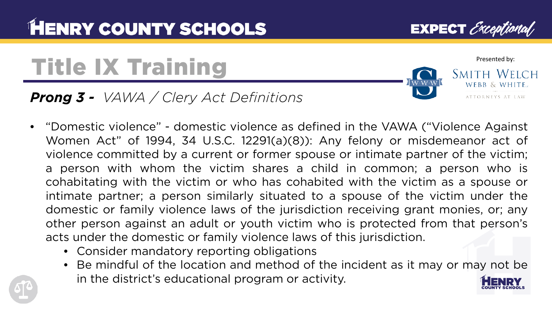

#### *Prong 3 - VAWA / Clery Act Definitions*



- "Domestic violence" domestic violence as defined in the VAWA ("Violence Against Women Act" of 1994, 34 U.S.C. 12291(a)(8)): Any felony or misdemeanor act of violence committed by a current or former spouse or intimate partner of the victim; a person with whom the victim shares a child in common; a person who is cohabitating with the victim or who has cohabited with the victim as a spouse or intimate partner; a person similarly situated to a spouse of the victim under the domestic or family violence laws of the jurisdiction receiving grant monies, or; any other person against an adult or youth victim who is protected from that person's acts under the domestic or family violence laws of this jurisdiction.
	- Consider mandatory reporting obligations
	- Be mindful of the location and method of the incident as it may or may not be in the district's educational program or activity.

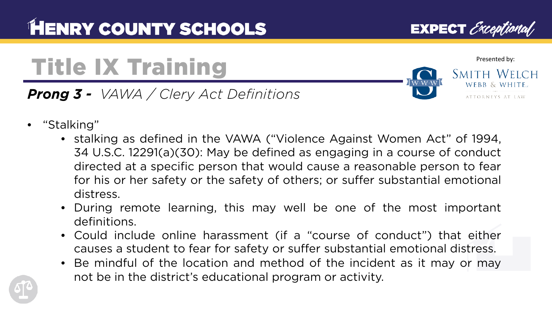

#### *Prong 3 - VAWA / Clery Act Definitions*



- "Stalking"
	- stalking as defined in the VAWA ("Violence Against Women Act" of 1994, 34 U.S.C. 12291(a)(30): May be defined as engaging in a course of conduct directed at a specific person that would cause a reasonable person to fear for his or her safety or the safety of others; or suffer substantial emotional distress.
	- During remote learning, this may well be one of the most important definitions.
	- Could include online harassment (if a "course of conduct") that either causes a student to fear for safety or suffer substantial emotional distress.
	- Be mindful of the location and method of the incident as it may or may not be in the district's educational program or activity.

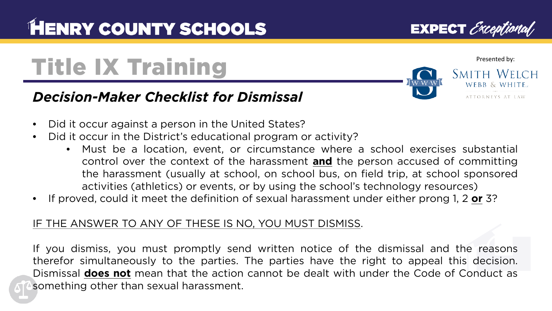

#### *Decision-Maker Checklist for Dismissal*



- Did it occur against a person in the United States?
- Did it occur in the District's educational program or activity?
	- Must be a location, event, or circumstance where a school exercises substantial control over the context of the harassment **and** the person accused of committing the harassment (usually at school, on school bus, on field trip, at school sponsored activities (athletics) or events, or by using the school's technology resources)
- If proved, could it meet the definition of sexual harassment under either prong 1, 2 **or** 3?

#### IF THE ANSWER TO ANY OF THESE IS NO, YOU MUST DISMISS.

If you dismiss, you must promptly send written notice of the dismissal and the reasons therefor simultaneously to the parties. The parties have the right to appeal this decision. Dismissal **does not** mean that the action cannot be dealt with under the Code of Conduct as something other than sexual harassment.

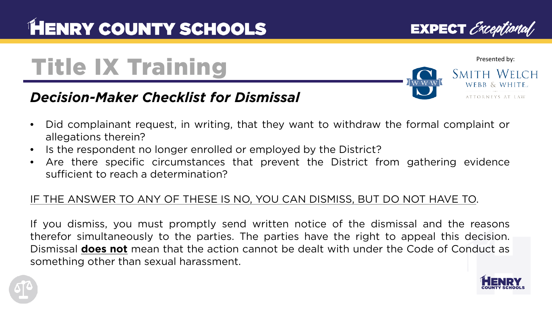

#### *Decision-Maker Checklist for Dismissal*

- Did complainant request, in writing, that they want to withdraw the formal complaint or allegations therein?
- Is the respondent no longer enrolled or employed by the District?
- Are there specific circumstances that prevent the District from gathering evidence sufficient to reach a determination?

#### IF THE ANSWER TO ANY OF THESE IS NO, YOU CAN DISMISS, BUT DO NOT HAVE TO.

If you dismiss, you must promptly send written notice of the dismissal and the reasons therefor simultaneously to the parties. The parties have the right to appeal this decision. Dismissal **does not** mean that the action cannot be dealt with under the Code of Conduct as something other than sexual harassment.







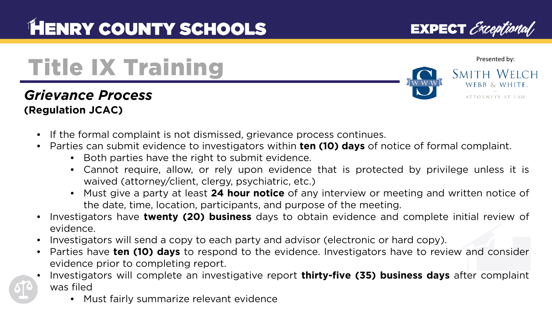#### *Grievance Process* **(Regulation JCAC)**

- If the formal complaint is not dismissed, grievance process continues.
- Parties can submit evidence to investigators within **ten (10) days** of notice of formal complaint.
	- Both parties have the right to submit evidence.
	- Cannot require, allow, or rely upon evidence that is protected by privilege unless it is waived (attorney/client, clergy, psychiatric, etc.)
	- Must give a party at least **24 hour notice** of any interview or meeting and written notice of the date, time, location, participants, and purpose of the meeting.
- Investigators have **twenty (20) business** days to obtain evidence and complete initial review of evidence.
- Investigators will send a copy to each party and advisor (electronic or hard copy).
- Parties have **ten (10) days** to respond to the evidence. Investigators have to review and consider evidence prior to completing report.
- Investigators will complete an investigative report **thirty-five (35) business days** after complaint was filed
	- Must fairly summarize relevant evidence







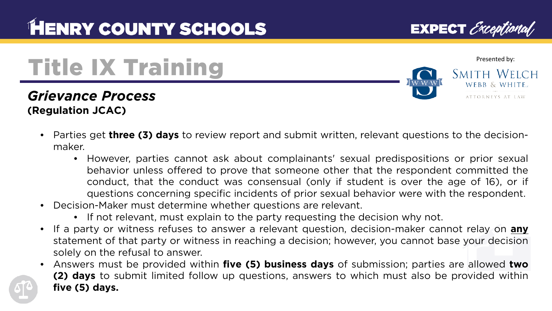

#### *Grievance Process* **(Regulation JCAC)**



- Parties get **three (3) days** to review report and submit written, relevant questions to the decisionmaker.
	- However, parties cannot ask about complainants' sexual predispositions or prior sexual behavior unless offered to prove that someone other that the respondent committed the conduct, that the conduct was consensual (only if student is over the age of 16), or if questions concerning specific incidents of prior sexual behavior were with the respondent.
- Decision-Maker must determine whether questions are relevant.
	- If not relevant, must explain to the party requesting the decision why not.
- If a party or witness refuses to answer a relevant question, decision-maker cannot relay on **any** statement of that party or witness in reaching a decision; however, you cannot base your decision solely on the refusal to answer.
- Answers must be provided within **five (5) business days** of submission; parties are allowed **two (2) days** to submit limited follow up questions, answers to which must also be provided within **five (5) days.**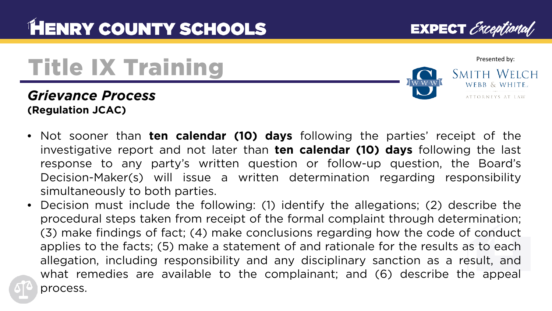

#### *Grievance Process* **(Regulation JCAC)**



- Not sooner than **ten calendar (10) days** following the parties' receipt of the investigative report and not later than **ten calendar (10) days** following the last response to any party's written question or follow-up question, the Board's Decision-Maker(s) will issue a written determination regarding responsibility simultaneously to both parties.
- Decision must include the following: (1) identify the allegations; (2) describe the procedural steps taken from receipt of the formal complaint through determination; (3) make findings of fact; (4) make conclusions regarding how the code of conduct applies to the facts; (5) make a statement of and rationale for the results as to each allegation, including responsibility and any disciplinary sanction as a result, and what remedies are available to the complainant; and (6) describe the appeal process.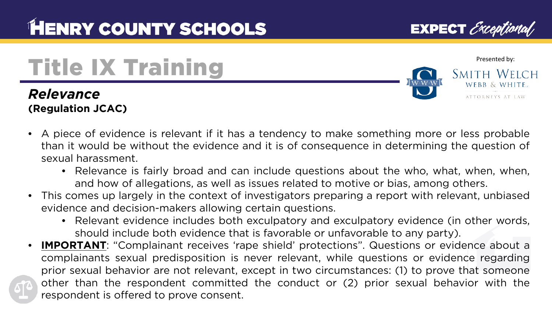

#### *Relevance* **(Regulation JCAC)**



**EXPECT** Exceptional

- A piece of evidence is relevant if it has a tendency to make something more or less probable than it would be without the evidence and it is of consequence in determining the question of sexual harassment.
	- Relevance is fairly broad and can include questions about the who, what, when, when, and how of allegations, as well as issues related to motive or bias, among others.
- This comes up largely in the context of investigators preparing a report with relevant, unbiased evidence and decision-makers allowing certain questions.
	- Relevant evidence includes both exculpatory and exculpatory evidence (in other words, should include both evidence that is favorable or unfavorable to any party).
- **IMPORTANT**: "Complainant receives 'rape shield' protections". Questions or evidence about a complainants sexual predisposition is never relevant, while questions or evidence regarding prior sexual behavior are not relevant, except in two circumstances: (1) to prove that someone other than the respondent committed the conduct or (2) prior sexual behavior with the respondent is offered to prove consent.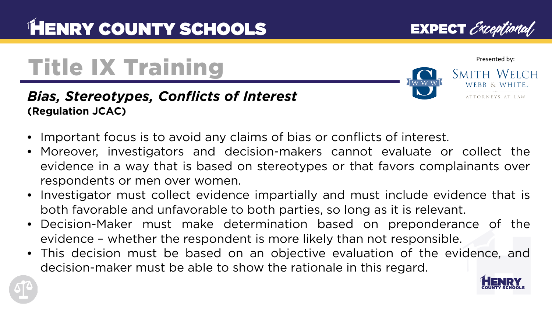

#### *Bias, Stereotypes, Conflicts of Interest* **(Regulation JCAC)**

- Important focus is to avoid any claims of bias or conflicts of interest.
- Moreover, investigators and decision-makers cannot evaluate or collect the evidence in a way that is based on stereotypes or that favors complainants over respondents or men over women.
- Investigator must collect evidence impartially and must include evidence that is both favorable and unfavorable to both parties, so long as it is relevant.
- Decision-Maker must make determination based on preponderance of the evidence – whether the respondent is more likely than not responsible.
- This decision must be based on an objective evaluation of the evidence, and decision-maker must be able to show the rationale in this regard.







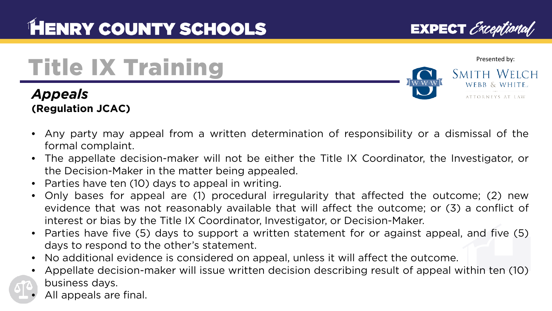## Title IX Training **Presented by:**

#### *Appeals* **(Regulation JCAC)**

- Any party may appeal from a written determination of responsibility or a dismissal of the formal complaint.
- The appellate decision-maker will not be either the Title IX Coordinator, the Investigator, or the Decision-Maker in the matter being appealed.
- Parties have ten (10) days to appeal in writing.
- Only bases for appeal are (1) procedural irregularity that affected the outcome; (2) new evidence that was not reasonably available that will affect the outcome; or (3) a conflict of interest or bias by the Title IX Coordinator, Investigator, or Decision-Maker.
- Parties have five (5) days to support a written statement for or against appeal, and five (5) days to respond to the other's statement.
- No additional evidence is considered on appeal, unless it will affect the outcome.
- Appellate decision-maker will issue written decision describing result of appeal within ten (10) business days.
- All appeals are final.